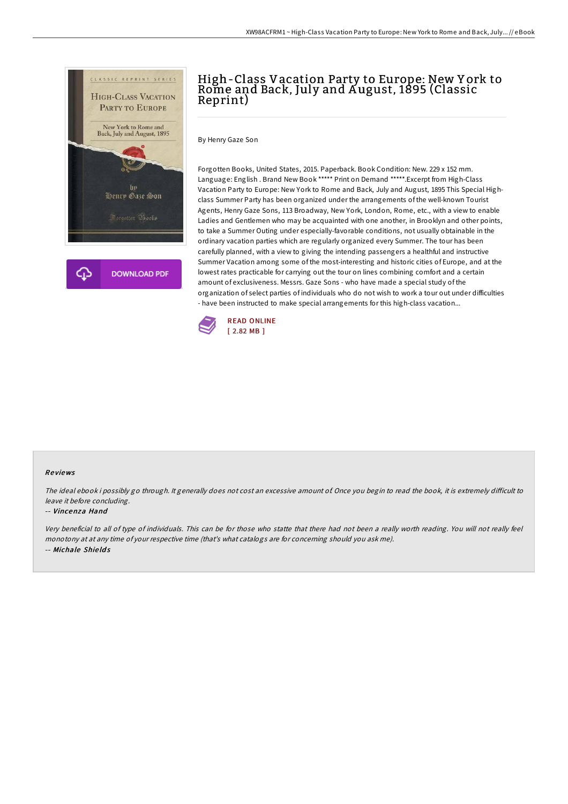

# High-Class Vacation Party to Europe: New Y ork to Rome and Back, July and August, 1895 (Classic Reprint)

By Henry Gaze Son

Forgotten Books, United States, 2015. Paperback. Book Condition: New. 229 x 152 mm. Language: English . Brand New Book \*\*\*\*\* Print on Demand \*\*\*\*\*.Excerpt from High-Class Vacation Party to Europe: New York to Rome and Back, July and August, 1895 This Special Highclass Summer Party has been organized under the arrangements of the well-known Tourist Agents, Henry Gaze Sons, 113 Broadway, New York, London, Rome, etc., with a view to enable Ladies and Gentlemen who may be acquainted with one another, in Brooklyn and other points, to take a Summer Outing under especially-favorable conditions, not usually obtainable in the ordinary vacation parties which are regularly organized every Summer. The tour has been carefully planned, with a view to giving the intending passengers a healthful and instructive Summer Vacation among some of the most-interesting and historic cities of Europe, and at the lowest rates practicable for carrying out the tour on lines combining comfort and a certain amount of exclusiveness. Messrs. Gaze Sons - who have made a special study of the organization of select parties of individuals who do not wish to work a tour out under difficulties - have been instructed to make special arrangements for this high-class vacation...



#### Re views

The ideal ebook i possibly go through. It generally does not cost an excessive amount of. Once you begin to read the book, it is extremely difficult to leave it before concluding.

#### -- Vincenza Hand

Very beneficial to all of type of individuals. This can be for those who statte that there had not been <sup>a</sup> really worth reading. You will not really feel monotony at at any time of your respective time (that's what catalogs are for concerning should you ask me). -- Michale Shie ld s